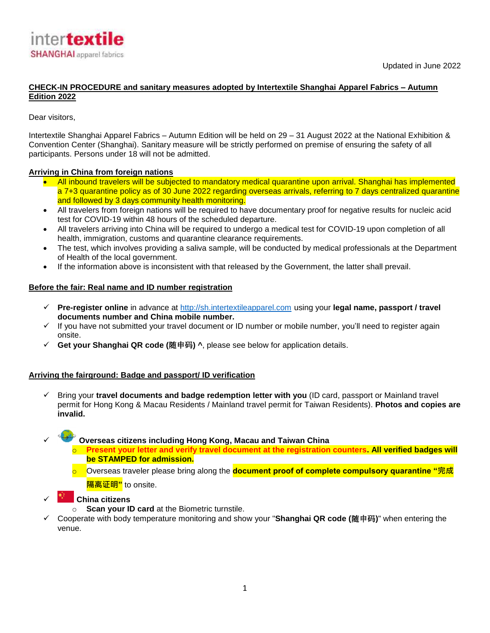

# **CHECK-IN PROCEDURE and sanitary measures adopted by Intertextile Shanghai Apparel Fabrics – Autumn Edition 2022**

## Dear visitors,

Intertextile Shanghai Apparel Fabrics – Autumn Edition will be held on 29 – 31 August 2022 at the National Exhibition & Convention Center (Shanghai). Sanitary measure will be strictly performed on premise of ensuring the safety of all participants. Persons under 18 will not be admitted.

## **Arriving in China from foreign nations**

- All inbound travelers will be subjected to mandatory medical quarantine upon arrival. Shanghai has implemented a 7+3 quarantine policy as of 30 June 2022 regarding overseas arrivals, referring to 7 days centralized quarantine and followed by 3 days community health monitoring.
- All travelers from foreign nations will be required to have documentary proof for negative results for nucleic acid test for COVID-19 within 48 hours of the scheduled departure.
- All travelers arriving into China will be required to undergo a medical test for COVID-19 upon completion of all health, immigration, customs and quarantine clearance requirements.
- The test, which involves providing a saliva sample, will be conducted by medical professionals at the Department of Health of the local government.
- If the information above is inconsistent with that released by the Government, the latter shall prevail.

## **Before the fair: Real name and ID number registration**

- **Pre-register online** in advance at [http://sh.intertextileapparel.com](http://sh.intertextileapparel.com/) using your **legal name, passport / travel documents number and China mobile number.**
- $\checkmark$  If you have not submitted your travel document or ID number or mobile number, you'll need to register again onsite.
- **Get your Shanghai QR code (**随申码**) ^**, please see below for application details.

### **Arriving the fairground: Badge and passport/ ID verification**

 Bring your **travel documents and badge redemption letter with you** (ID card, passport or Mainland travel permit for Hong Kong & Macau Residents / Mainland travel permit for Taiwan Residents). **Photos and copies are invalid.**

**Overseas citizens including Hong Kong, Macau and Taiwan China**

- o **Present your letter and verify travel document at the registration counters. All verified badges will be STAMPED for admission.**
- o Overseas traveler please bring along the **document proof of complete compulsory quarantine "完成 隔离证明"** to onsite.
- **China citizens**
	- o **Scan your ID card** at the Biometric turnstile.
- Cooperate with body temperature monitoring and show your "**Shanghai QR code (**随申码**)**" when entering the venue.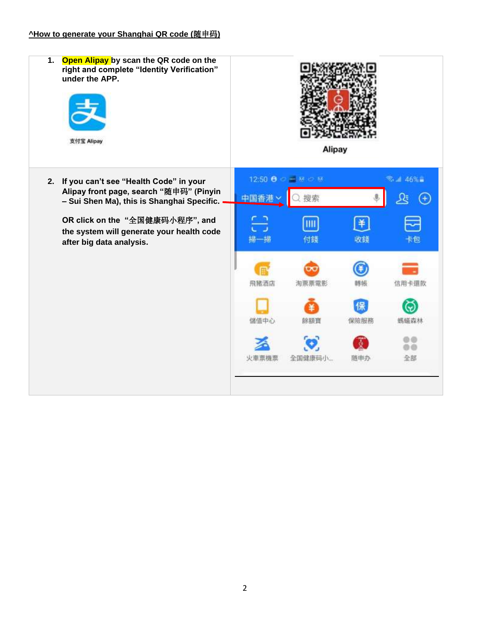| Open Alipay by scan the QR code on the<br>1.<br>right and complete "Identity Verification"<br>under the APP.<br>支付宝 Alipay         | <b>Alipay</b> |                         |      |        |
|------------------------------------------------------------------------------------------------------------------------------------|---------------|-------------------------|------|--------|
| 2. If you can't see "Health Code" in your<br>Alipay front page, search "随申码" (Pinyin<br>- Sui Shen Ma), this is Shanghai Specific. | 中国香港          | 12:50 8 0 + 8 0 8<br>搜索 |      | 데 46%을 |
| OR click on the "全国健康码小程序", and<br>the system will generate your health code<br>after big data analysis.                           |               | 付錢                      | 收錢   |        |
|                                                                                                                                    | 飛豬酒店          | 淘票票電影                   | 轉帳   | 信用卡還款  |
|                                                                                                                                    | 儲值中心          | 餘額寶                     | 保險服務 | 螨鳝森林   |
|                                                                                                                                    | 火車票機票         | 全国健康码小                  | 随申办  | 全部     |
|                                                                                                                                    |               |                         |      |        |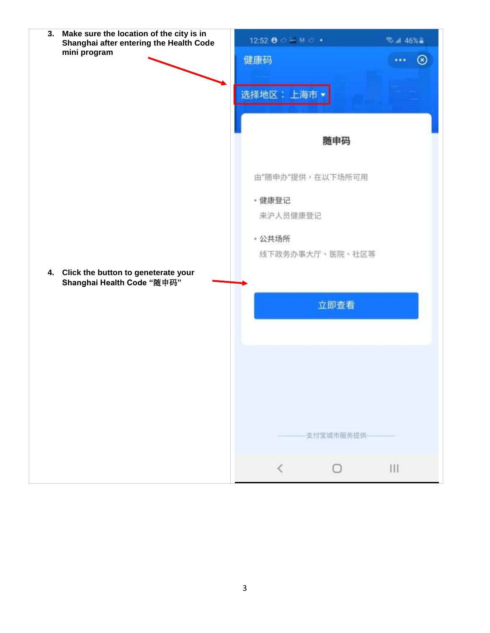